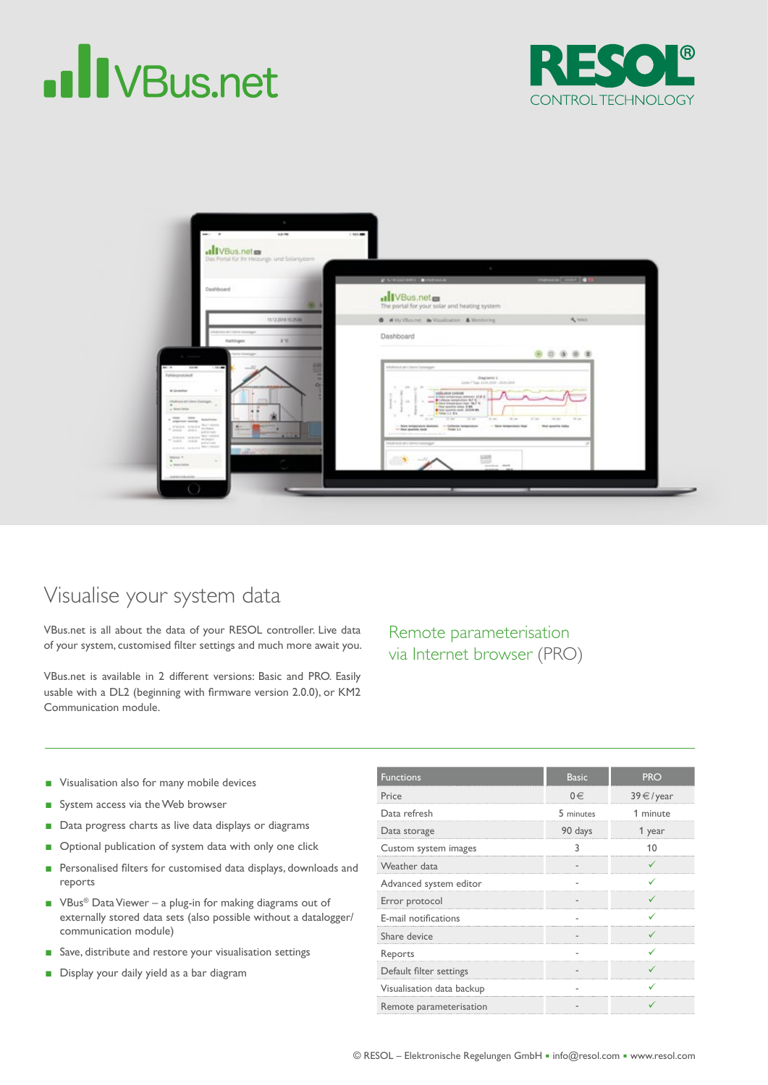## **II** VBus.net





## Visualise your system data

VBus.net is all about the data of your RESOL controller. Live data of your system, customised flter settings and much more await you.

VBus.net is available in 2 different versions: Basic and PRO. Easily usable with a DL2 (beginning with frmware version 2.0.0), or KM2 Communication module.

Remote parameterisation via Internet browser (PRO)

- Visualisation also for many mobile devices
- System access via the Web browser
- Data progress charts as live data displays or diagrams
- Optional publication of system data with only one click
- Personalised filters for customised data displays, downloads and reports
- VBus<sup>®</sup> Data Viewer a plug-in for making diagrams out of externally stored data sets (also possible without a datalogger/ communication module)
- Save, distribute and restore your visualisation settings
- Display your daily yield as a bar diagram

| <b>Functions</b>          | <b>Basic</b> | <b>PRO</b>               |
|---------------------------|--------------|--------------------------|
| Price                     | $0 \in$      | $39 \text{ } \in$ / year |
| Data refresh              | 5 minutes    | 1 minute                 |
| Data storage              | 90 days      | 1 year                   |
| Custom system images      |              |                          |
| Weather data              |              |                          |
| Advanced system editor    |              |                          |
| Error protocol            |              |                          |
| E-mail notifications      |              |                          |
| Share device              |              |                          |
| Reports                   |              |                          |
| Default filter settings   |              |                          |
| Visualisation data backup |              |                          |
| Remote parameterisation   |              |                          |